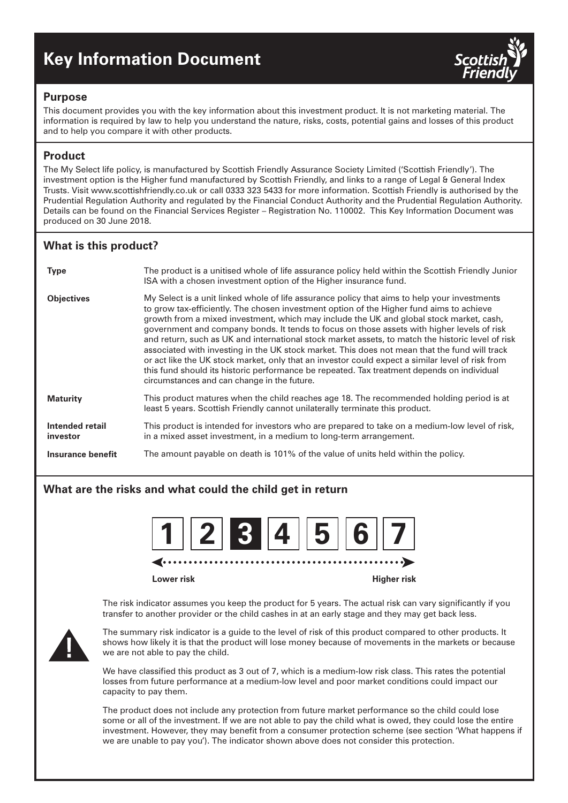# **Key Information Document**



## **Purpose**

This document provides you with the key information about this investment product. It is not marketing material. The information is required by law to help you understand the nature, risks, costs, potential gains and losses of this product and to help you compare it with other products.

# **Product**

The My Select life policy, is manufactured by Scottish Friendly Assurance Society Limited ('Scottish Friendly'). The investment option is the Higher fund manufactured by Scottish Friendly, and links to a range of Legal & General Index Trusts. Visit www.scottishfriendly.co.uk or call 0333 323 5433 for more information. Scottish Friendly is authorised by the Prudential Regulation Authority and regulated by the Financial Conduct Authority and the Prudential Regulation Authority. Details can be found on the Financial Services Register – Registration No. 110002. This Key Information Document was produced on 30 June 2018.

# **What is this product?**

| <b>Type</b>                 | The product is a unitised whole of life assurance policy held within the Scottish Friendly Junior<br>ISA with a chosen investment option of the Higher insurance fund.                                                                                                                                                                                                                                                                                                                                                                                                                                                                                                                                                                                                                                                                   |
|-----------------------------|------------------------------------------------------------------------------------------------------------------------------------------------------------------------------------------------------------------------------------------------------------------------------------------------------------------------------------------------------------------------------------------------------------------------------------------------------------------------------------------------------------------------------------------------------------------------------------------------------------------------------------------------------------------------------------------------------------------------------------------------------------------------------------------------------------------------------------------|
| <b>Objectives</b>           | My Select is a unit linked whole of life assurance policy that aims to help your investments<br>to grow tax-efficiently. The chosen investment option of the Higher fund aims to achieve<br>growth from a mixed investment, which may include the UK and global stock market, cash,<br>government and company bonds. It tends to focus on those assets with higher levels of risk<br>and return, such as UK and international stock market assets, to match the historic level of risk<br>associated with investing in the UK stock market. This does not mean that the fund will track<br>or act like the UK stock market, only that an investor could expect a similar level of risk from<br>this fund should its historic performance be repeated. Tax treatment depends on individual<br>circumstances and can change in the future. |
| <b>Maturity</b>             | This product matures when the child reaches age 18. The recommended holding period is at<br>least 5 years. Scottish Friendly cannot unilaterally terminate this product.                                                                                                                                                                                                                                                                                                                                                                                                                                                                                                                                                                                                                                                                 |
| Intended retail<br>investor | This product is intended for investors who are prepared to take on a medium-low level of risk,<br>in a mixed asset investment, in a medium to long-term arrangement.                                                                                                                                                                                                                                                                                                                                                                                                                                                                                                                                                                                                                                                                     |
| Insurance benefit           | The amount payable on death is 101% of the value of units held within the policy.                                                                                                                                                                                                                                                                                                                                                                                                                                                                                                                                                                                                                                                                                                                                                        |

# **What are the risks and what could the child get in return**



**Lower risk Higher risk**

The risk indicator assumes you keep the product for 5 years. The actual risk can vary significantly if you transfer to another provider or the child cashes in at an early stage and they may get back less.



The summary risk indicator is a guide to the level of risk of this product compared to other products. It shows how likely it is that the product will lose money because of movements in the markets or because we are not able to pay the child.

We have classified this product as 3 out of 7, which is a medium-low risk class. This rates the potential losses from future performance at a medium-low level and poor market conditions could impact our capacity to pay them.

The product does not include any protection from future market performance so the child could lose some or all of the investment. If we are not able to pay the child what is owed, they could lose the entire investment. However, they may benefit from a consumer protection scheme (see section 'What happens if we are unable to pay you'). The indicator shown above does not consider this protection.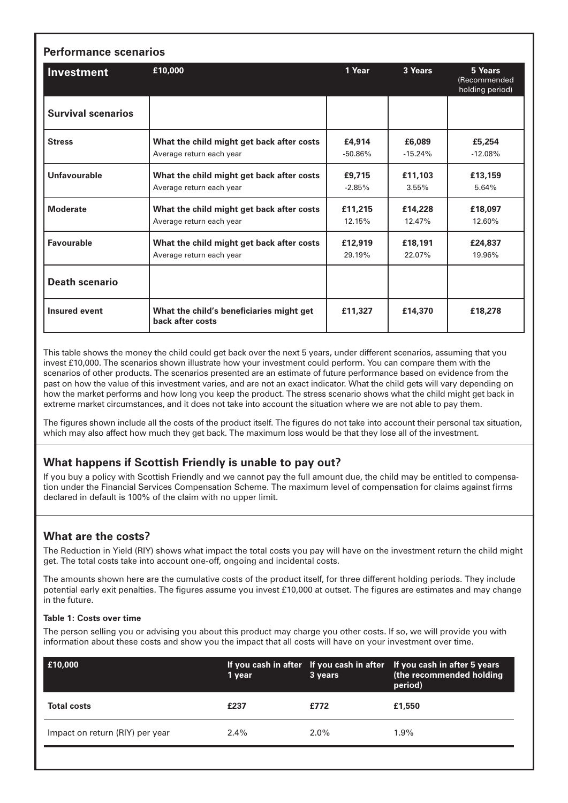| <b>Investment</b>         | £10,000                                                      | 1 Year    | 3 Years   | 5 Years<br>(Recommended<br>holding period) |
|---------------------------|--------------------------------------------------------------|-----------|-----------|--------------------------------------------|
| <b>Survival scenarios</b> |                                                              |           |           |                                            |
| <b>Stress</b>             | What the child might get back after costs                    | £4,914    | £6,089    | £5,254                                     |
|                           | Average return each year                                     | $-50.86%$ | $-15.24%$ | $-12.08%$                                  |
| <b>Unfavourable</b>       | What the child might get back after costs                    | £9,715    | £11,103   | £13,159                                    |
|                           | Average return each year                                     | $-2.85%$  | 3.55%     | 5.64%                                      |
| <b>Moderate</b>           | What the child might get back after costs                    | £11,215   | £14,228   | £18,097                                    |
|                           | Average return each year                                     | 12.15%    | 12.47%    | 12.60%                                     |
| <b>Favourable</b>         | What the child might get back after costs                    | £12,919   | £18,191   | £24,837                                    |
|                           | Average return each year                                     | 29.19%    | 22.07%    | 19.96%                                     |
| <b>Death scenario</b>     |                                                              |           |           |                                            |
| <b>Insured event</b>      | What the child's beneficiaries might get<br>back after costs | £11,327   | £14,370   | £18,278                                    |

This table shows the money the child could get back over the next 5 years, under different scenarios, assuming that you invest £10,000. The scenarios shown illustrate how your investment could perform. You can compare them with the scenarios of other products. The scenarios presented are an estimate of future performance based on evidence from the past on how the value of this investment varies, and are not an exact indicator. What the child gets will vary depending on how the market performs and how long you keep the product. The stress scenario shows what the child might get back in extreme market circumstances, and it does not take into account the situation where we are not able to pay them.

The figures shown include all the costs of the product itself. The figures do not take into account their personal tax situation, which may also affect how much they get back. The maximum loss would be that they lose all of the investment.

## **What happens if Scottish Friendly is unable to pay out?**

If you buy a policy with Scottish Friendly and we cannot pay the full amount due, the child may be entitled to compensation under the Financial Services Compensation Scheme. The maximum level of compensation for claims against firms declared in default is 100% of the claim with no upper limit.

## **What are the costs?**

The Reduction in Yield (RIY) shows what impact the total costs you pay will have on the investment return the child might get. The total costs take into account one-off, ongoing and incidental costs.

The amounts shown here are the cumulative costs of the product itself, for three different holding periods. They include potential early exit penalties. The figures assume you invest £10,000 at outset. The figures are estimates and may change in the future.

#### **Table 1: Costs over time**

The person selling you or advising you about this product may charge you other costs. If so, we will provide you with information about these costs and show you the impact that all costs will have on your investment over time.

| E10,000                         | 1 year  | 3 years | If you cash in after If you cash in after If you cash in after 5 years<br>(the recommended holding<br>period) |
|---------------------------------|---------|---------|---------------------------------------------------------------------------------------------------------------|
| <b>Total costs</b>              | £237    | £772    | £1,550                                                                                                        |
| Impact on return (RIY) per year | $2.4\%$ | $2.0\%$ | $1.9\%$                                                                                                       |